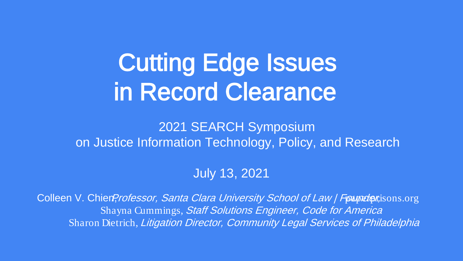# Cutting Edge Issues in Record Clearance

#### 2021 SEARCH Symposium on Justice Information Technology, Policy, and Research

July 13, 2021

Colleen V. Chien?rofessor, Santa Clara University School of Law / Founder, isons.org Shayna Cummings, Staff Solutions Engineer, Code for America Sharon Dietrich, Litigation Director, Community Legal Services of Philadelphia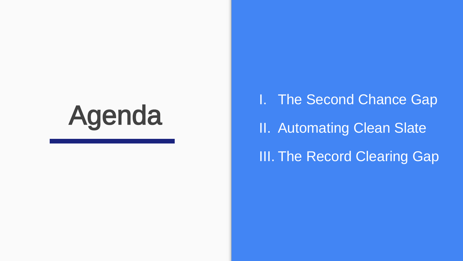# Agenda

I. The Second Chance Gap II. Automating Clean Slate **III. The Record Clearing Gap**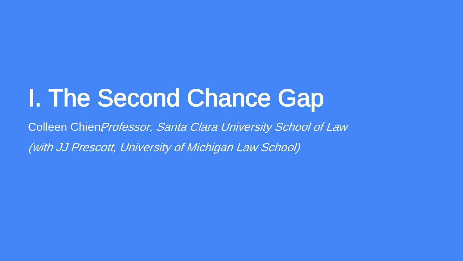# I. The Second Chance Gap

Colleen ChienProfessor, Santa Clara University School of Law (with JJ Prescott, University of Michigan Law School)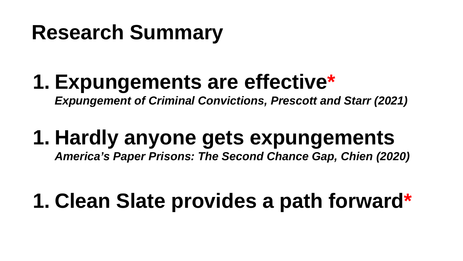# **Research Summary**

# **1. Expungements are effective\***

*Expungement of Criminal Convictions, Prescott and Starr (2021)*

# **1. Hardly anyone gets expungements**

*America's Paper Prisons: The Second Chance Gap, Chien (2020)* 

# **1. Clean Slate provides a path forward\***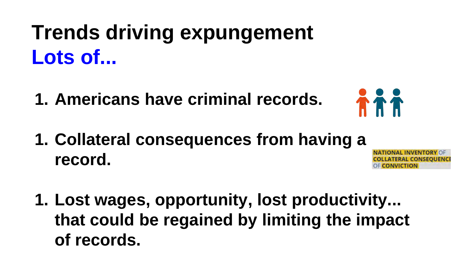# **Trends driving expungement Lots of...**

**1. Americans have criminal records.**



**1. Collateral consequences from having a record.** 

**ATERAL CONSEQUEI** 

**1. Lost wages, opportunity, lost productivity... that could be regained by limiting the impact of records.**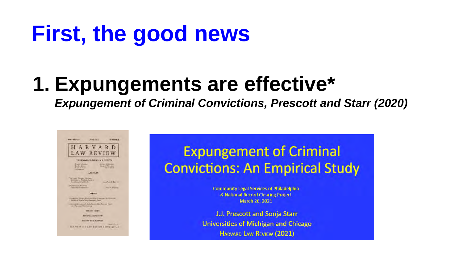# **First, the good news**

## **1. Expungements are effective\***

*Expungement of Criminal Convictions, Prescott and Starr (2020)*



#### **Expungement of Criminal Convictions: An Empirical Study**

**Community Legal Services of Philadelphia** & National Record Clearing Project March 26, 2021

J.J. Prescott and Sonja Starr Universities of Michigan and Chicago HARVARD LAW REVIEW (2021)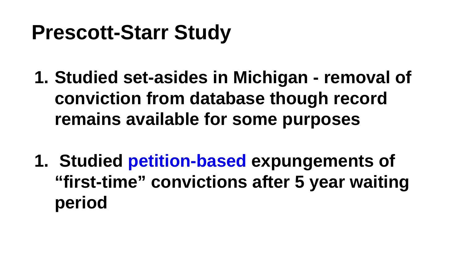# **Prescott-Starr Study**

- **1. Studied set-asides in Michigan removal of conviction from database though record remains available for some purposes**
- **1. Studied petition-based expungements of "first-time" convictions after 5 year waiting period**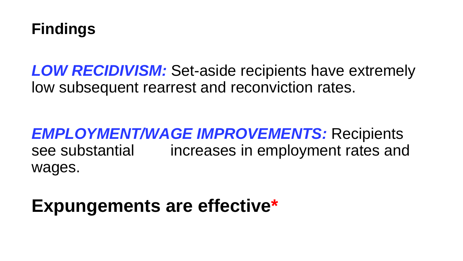

*LOW RECIDIVISM:* Set-aside recipients have extremely low subsequent rearrest and reconviction rates.

#### *EMPLOYMENT/WAGE IMPROVEMENTS:* Recipients see substantial increases in employment rates and wages.

#### **Expungements are effective\***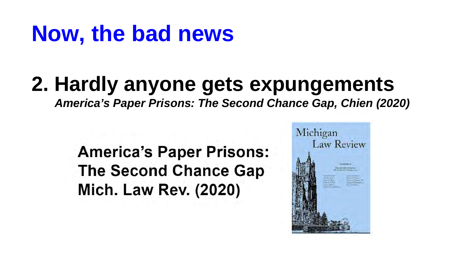# **Now, the bad news**

### **2. Hardly anyone gets expungements**

*America's Paper Prisons: The Second Chance Gap, Chien (2020)* 

**America's Paper Prisons: The Second Chance Gap Mich. Law Rev. (2020)** 

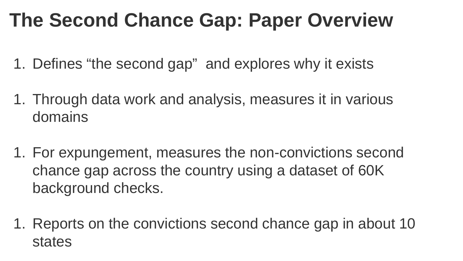## **The Second Chance Gap: Paper Overview**

- 1. Defines "the second gap" and explores why it exists
- 1. Through data work and analysis, measures it in various domains
- 1. For expungement, measures the non-convictions second chance gap across the country using a dataset of 60K background checks.
- 1. Reports on the convictions second chance gap in about 10 states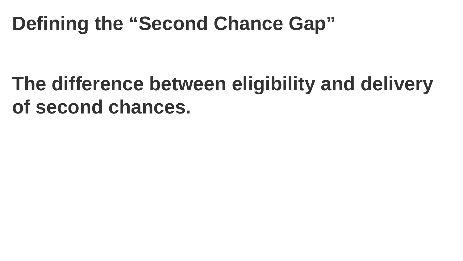## **Defining the "Second Chance Gap"**

## **The difference between eligibility and delivery of second chances.**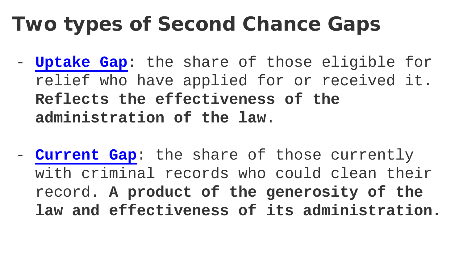# **Two types of Second Chance Gaps**

- **Uptake Gap**: the share of those eligible for relief who have applied for or received it. **Reflects the effectiveness of the administration of the law**.
- **Current Gap**: the share of those currently with criminal records who could clean their record. **A product of the generosity of the law and effectiveness of its administration.**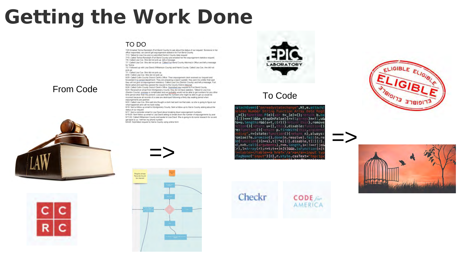# **Getting the Work Done**

#### TO DO

- 7/20 Emailed Tentra Randolph (Fort Bend County) to ask about the status of our request. Someone in her. office responded we cannot get expungement statistics for Fort Bend County.
- 7/13: Talked to Lisa Cox and re-submitted Denton County data request
- 7/10 Called Tentra Randolph (Fort Bend County) and emailed her the expunpement statistics request
- 7/9. Called Lisa Cox. She did not pick up. left a message. 7/7 Called Lisa Cox She did not pick up Called Fort Bend County Attorney's Office and left a message for Taylor
- 7/2: Followed up with Lisa David (Williamson County) and Hams County Called Lisa Cox, she did not bick un-
- 7/1 Called Lisa Cox. She did not pick up.
- 6/30 Called Lisa Cox She did not pick up.

6/29 Called Collin County District Clerk's Office. Their expunpement clerk received our request and forwarded it to correct department. They are preparing a report (update they sent me a letter that said they will not give us expungement statistics). Called Lisa Cox (Denton County) and left a message. Fort

From Code  $\overline{F}$   $\overline{F}$   $\overline{F}$   $\overline{F}$   $\overline{F}$   $\overline{F}$   $\overline{F}$   $\overline{F}$   $\overline{F}$   $\overline{F}$   $\overline{F}$   $\overline{F}$   $\overline{F}$   $\overline{F}$   $\overline{F}$   $\overline{F}$   $\overline{F}$   $\overline{F}$   $\overline{F}$   $\overline{F}$   $\overline{F}$   $\overline{F}$   $\overline{F}$   $\overline$ 

what happened and call me back today.

6/19 Sent a follow up email to Montgomery County. Sent a follow up to Harris County asking about the status of our request.

6/17. Sent a reminder email to Lisa David about breaking down expungement numbers. 6/15/20: Sent follow up email to Lisa David asking to break down the number of expungements by year. 6/11/20: Called Williamson County and spoke to Lisa Davd. She is going to do some research for us and get back to us. I left her my phone number.

6/9/20: Submitted request to Harris County using online form

















=>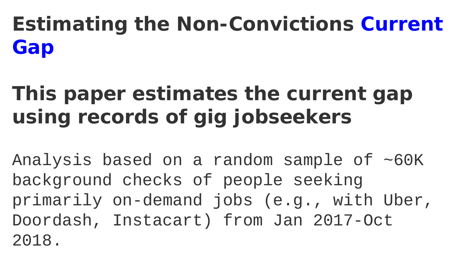# **Estimating the Non-Convictions Current Gap**

# **This paper estimates the current gap using records of gig jobseekers**

Analysis based on a random sample of ~60K background checks of people seeking primarily on-demand jobs (e.g., with Uber, Doordash, Instacart) from Jan 2017-Oct 2018.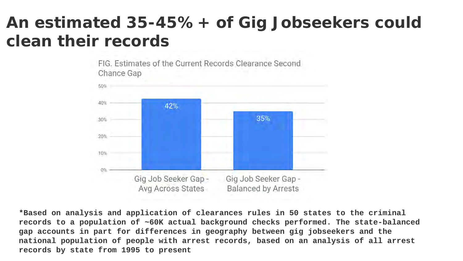#### **An estimated 35-45%+ of Gig Jobseekers could clean their records**

FIG. Estimates of the Current Records Clearance Second Chance Gap



**\*Based on analysis and application of clearances rules in 50 states to the criminal records to a population of ~60K actual background checks performed. The state-balanced gap accounts in part for differences in geography between gig jobseekers and the national population of people with arrest records, based on an analysis of all arrest records by state from 1995 to present**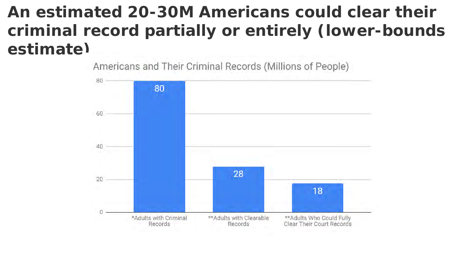#### **An estimated 20-30M Americans could clear their criminal record partially or entirely (lower-bounds estimate)**

Americans and Their Criminal Records (Millions of People)

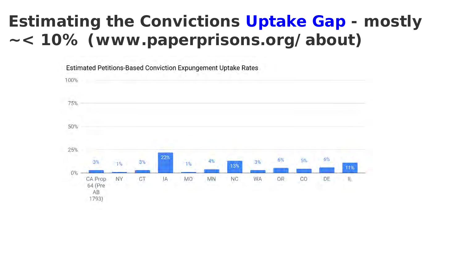#### **Estimating the Convictions Uptake Gap - mostly ~< 10% (www.paperprisons.org/about)**

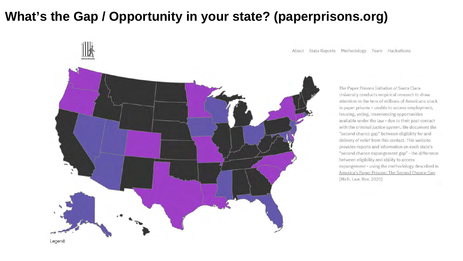#### **What's the Gap / Opportunity in your state? (paperprisons.org)**



About State Reports Methodology Team Hackathons

The Paper Prisons Initiative of Santa Clara University conducts empirical research to draw attention to the tens of millions of Americans stuck in paper prisons - unable to access employment, housing, voting, resentencing opportunities available under the law - due to their past contact with the criminal justice system. We document the "second chance gap" between eligibility for and delivery of relief from this contact. This website provides reports and information on each state's "second chance expungement gap" - the difference between eligibility and ability to access expungement - using the methodology described in America's Paper Prisons: The Second Chance Gap (Mich. Law. Rev. 2020)

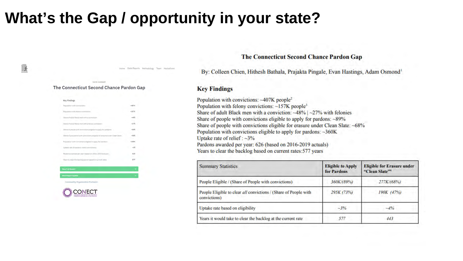#### **What's the Gap / opportunity in your state?**

Home Statis Reports Methodology Team Hackathan

#### **GATE STANDS** The Connecticut Second Chance Pardon Gap

| Key Findings                                                                    |          |
|---------------------------------------------------------------------------------|----------|
| Population with consigtions:                                                    | $-487$ C |
| Population with fellowy commissions:<br>common control and                      | $+157$ K |
| Share of educt Bleck wait with a convertisim.                                   | $-455$   |
| Strare of eduli Black men with a felony conviction:                             | $-275$   |
| Share of people with convictions eligible to apply for partions:                | $-0.95$  |
| Strang of population with convictions exigible for enasyne under Clean Skiller. | $-485$   |
| Population with convictions sligible in apply for perdom-                       | $-3680$  |
| Upfake ratii of pardon's ratiet (convictions)                                   | $-25$    |
| Photons awarded per year (baned on 2014-2019 actuals):                          | 426      |
| Visant to clear the Backteg alone based on current rates                        | 577      |

⊪

numlty Organization Partners:



**The Connecticut Second Chance Pardon Gap** 

By: Colleen Chien, Hithesh Bathala, Prajakta Pingale, Evan Hastings, Adam Osmond<sup>1</sup>

#### **Key Findings**

Population with convictions:  $-407K$  people<sup>2</sup> Population with felony convictions: ~157K people<sup>3</sup> Share of adult Black men with a conviction:  $-48\%$  |  $-27\%$  with felonies Share of people with convictions eligible to apply for pardons: ~89% Share of people with convictions eligible for erasure under Clean Slate: ~68% Population with convictions eligible to apply for pardons: ~360K Uptake rate of relief :  $\sim$ 3% Pardons awarded per year: 626 (based on 2016-2019 actuals) Years to clear the backlog based on current rates: 577 years

| <b>Summary Statistics</b>                                                        | <b>Eligible to Apply</b><br>for Pardons | <b>Eligible for Erasure under</b><br>"Clean Slate" <sup>4</sup><br>277K/(68%) |  |
|----------------------------------------------------------------------------------|-----------------------------------------|-------------------------------------------------------------------------------|--|
| People Eligible / (Share of People with convictions)                             | 360K/(89%)                              |                                                                               |  |
| People Eligible to clear all convictions / (Share of People with<br>convictions) | 295K (73%)                              | 190K(47%)                                                                     |  |
| Uptake rate based on eligibility                                                 | $-3\%$                                  | $-4\%$                                                                        |  |
| Years it would take to clear the backlog at the current rate                     | 577                                     | 443                                                                           |  |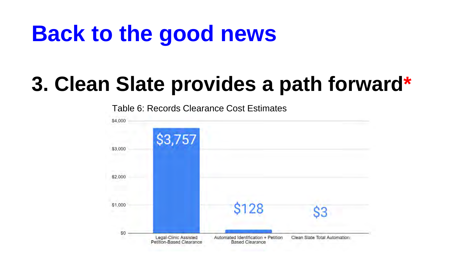# **Back to the good news**

# **3. Clean Slate provides a path forward\***

\$4,000 \$3,757 \$3,000 \$2,000 \$1,000 S128 63 S<sub>0</sub> Legal-Clinic Assisted Automated Identification + Petition Clean Slate Total Automation Petition-Based Clearance **Based Clearance** 

Table 6: Records Clearance Cost Estimates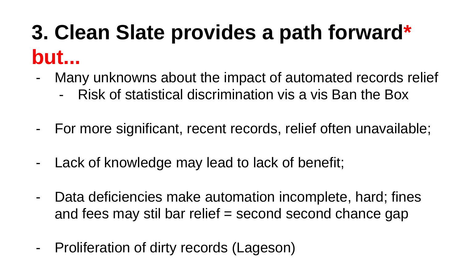# **3. Clean Slate provides a path forward\* but...**

- Many unknowns about the impact of automated records relief
	- Risk of statistical discrimination vis a vis Ban the Box
- For more significant, recent records, relief often unavailable;
- Lack of knowledge may lead to lack of benefit;
- Data deficiencies make automation incomplete, hard; fines and fees may stil bar relief = second second chance gap
- Proliferation of dirty records (Lageson)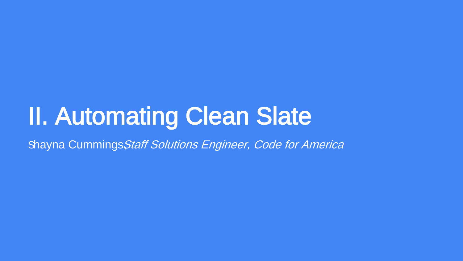# II. Automating Clean Slate

Shayna Cummings, Staff Solutions Engineer, Code for America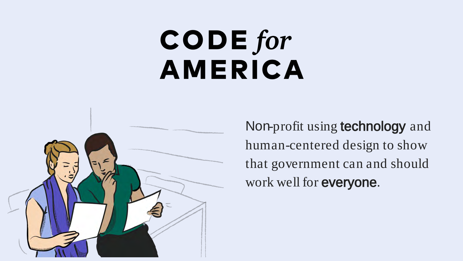# $\mathbf{CODE}$  for **AMERICA**



Non-profit using **technology** and human-centered design to show that government can and should work well for everyone.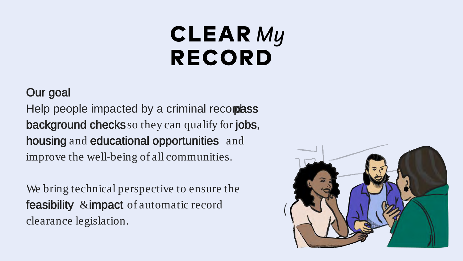# **CLEAR My RECORD**

#### Our goal

Help people impacted by a criminal records as background checks so they can qualify for jobs, housing and educational opportunities and improve the well-being of all communities.

We bring technical perspective to ensure the feasibility & impact of automatic record clearance legislation.

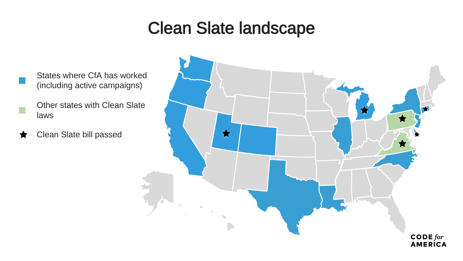#### Clean Slate landscape

- States where CfA has worked<br>(including active campaigns)
	- **Other states with Clean Slate** laws
- Clean Slate bill passed₩

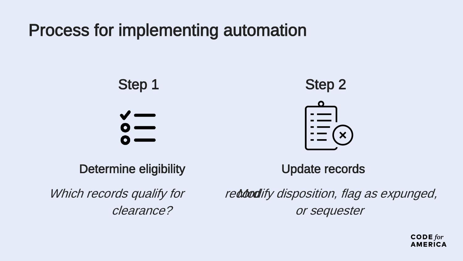#### Process for implementing automation



Determine eligibility

Update records

Which records qualify for clearance?

reddoodify disposition, flag as expunged, or sequester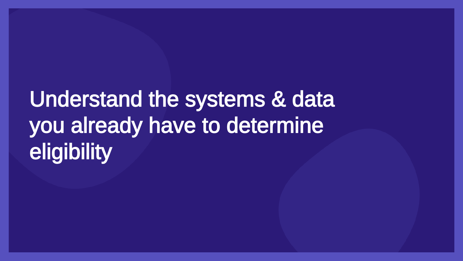# Understand the systems & data you already have to determine **eligibility**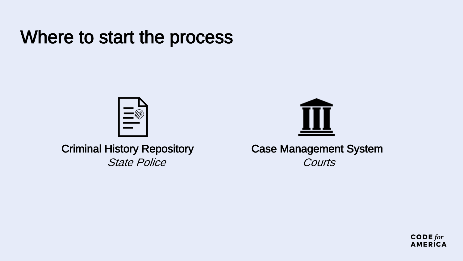### Where to start the process



Criminal History Repository State Police



Case Management System **Courts** 

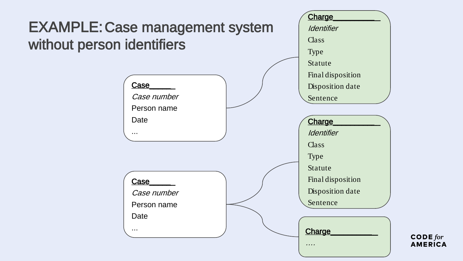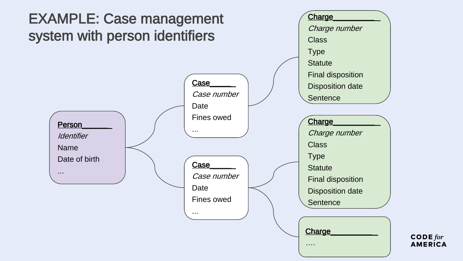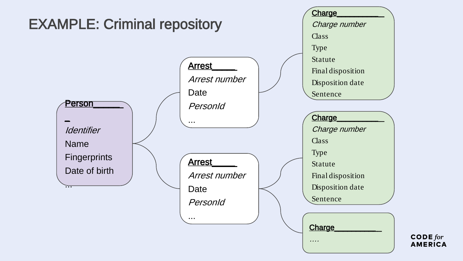

 $\mathsf{CODE}$  for **AMERICA**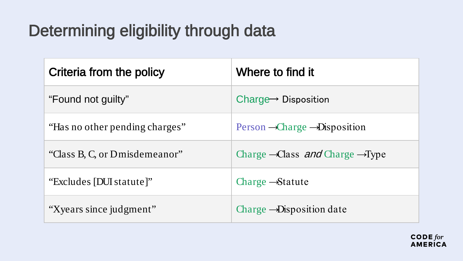### Determining eligibility through data

| Criteria from the policy       | Where to find it                                         |
|--------------------------------|----------------------------------------------------------|
| "Found not guilty"             | Charge $\rightarrow$ Disposition                         |
| "Has no other pending charges" | $Person - Charge - Disposition$                          |
| "Class B, C, or Dmisdemeanor"  | Charge $\rightarrow$ Class and Charge $\rightarrow$ Type |
| "Excludes [DUI statute]"       | Charge $\rightarrow$ Statute                             |
| "Xyears since judgment"        | Charge $\rightarrow$ Disposition date                    |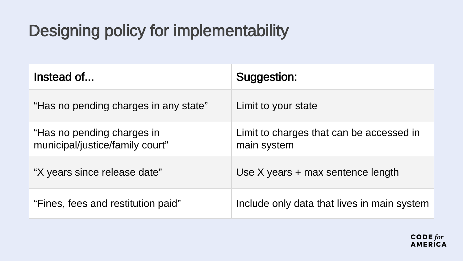### Designing policy for implementability

| Instead of                                                    | Suggestion:                                             |
|---------------------------------------------------------------|---------------------------------------------------------|
| "Has no pending charges in any state"                         | Limit to your state                                     |
| "Has no pending charges in<br>municipal/justice/family court" | Limit to charges that can be accessed in<br>main system |
| "X years since release date"                                  | Use $X$ years $+$ max sentence length                   |
| "Fines, fees and restitution paid"                            | Include only data that lives in main system             |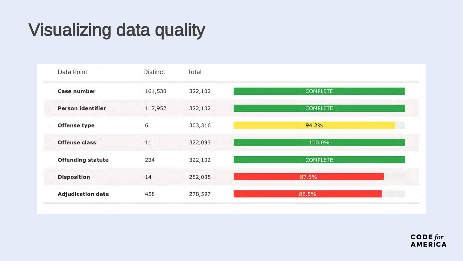### Visualizing data quality

| Data Point               | <b>Distinct</b> | Total   |                 |
|--------------------------|-----------------|---------|-----------------|
| Case number              | 161,530         | 322,102 | <b>COMPLETE</b> |
| <b>Person identifier</b> | 117,952         | 322,102 | <b>COMPLETE</b> |
| <b>Offense type</b>      | 6               | 303,316 | 94.2%           |
| Offense class            | 11              | 322,093 | 100.0%          |
| <b>Offending statute</b> | 234             | 322,102 | <b>COMPLETE</b> |
| <b>Disposition</b>       | 14              | 282,038 | 87.6%           |
| <b>Adjudication date</b> | . v<br>458      | 278,597 | 86.5%           |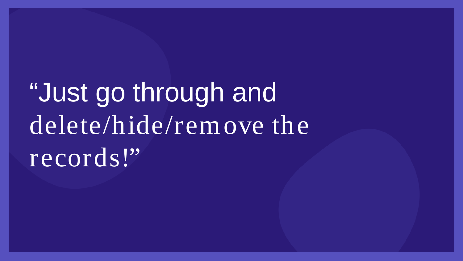# "Just go through and delete/hide/remove the records!"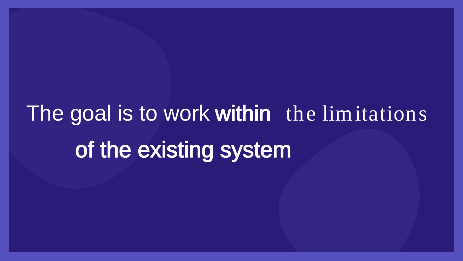# The goal is to work within the limitations of the existing system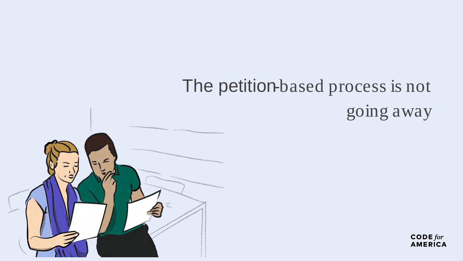# The petition-based process is not going away

 $\text{CODE}$  for **AMERICA** 

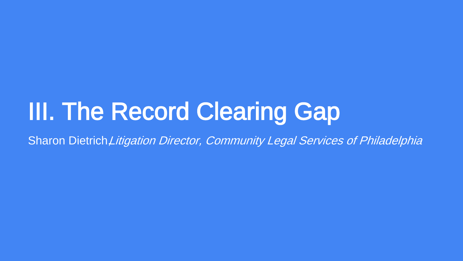# III. The Record Clearing Gap

Sharon Dietrich Litigation Director, Community Legal Services of Philadelphia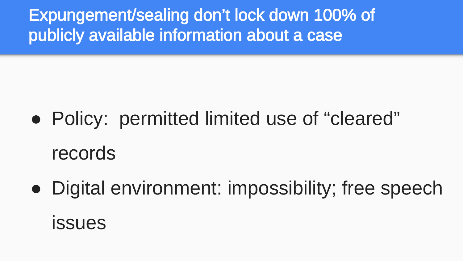Expungement/sealing don't lock down 100% of publicly available information about a case

- Policy: permitted limited use of "cleared" records
- Digital environment: impossibility; free speech issues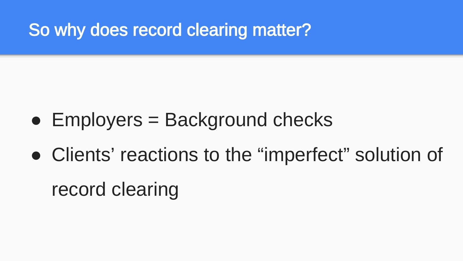So why does record clearing matter?

- $\bullet$  Employers = Background checks
- Clients' reactions to the "imperfect" solution of

record clearing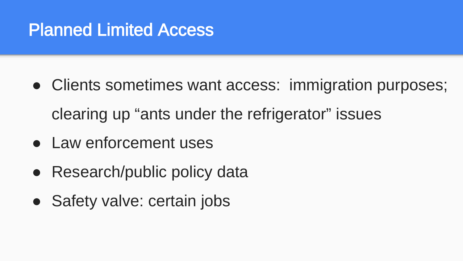### Planned Limited Access

- Clients sometimes want access: immigration purposes; clearing up "ants under the refrigerator" issues
- Law enforcement uses
- Research/public policy data
- Safety valve: certain jobs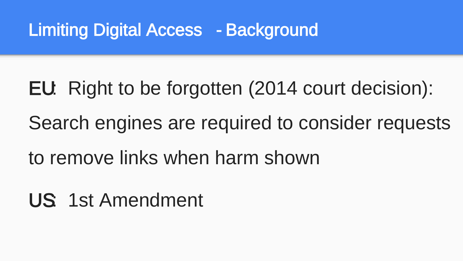#### Limiting Digital Access - Background

EU: Right to be forgotten (2014 court decision): Search engines are required to consider requests to remove links when harm shown

US: 1st Amendment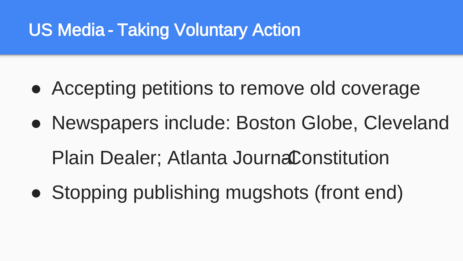### US Media - Taking Voluntary Action

- Accepting petitions to remove old coverage
- Newspapers include: Boston Globe, Cleveland Plain Dealer; Atlanta JournaConstitution
- Stopping publishing mugshots (front end)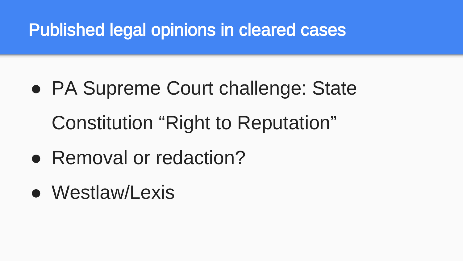### Published legal opinions in cleared cases

- PA Supreme Court challenge: State Constitution "Right to Reputation"
- Removal or redaction?
- Westlaw/Lexis